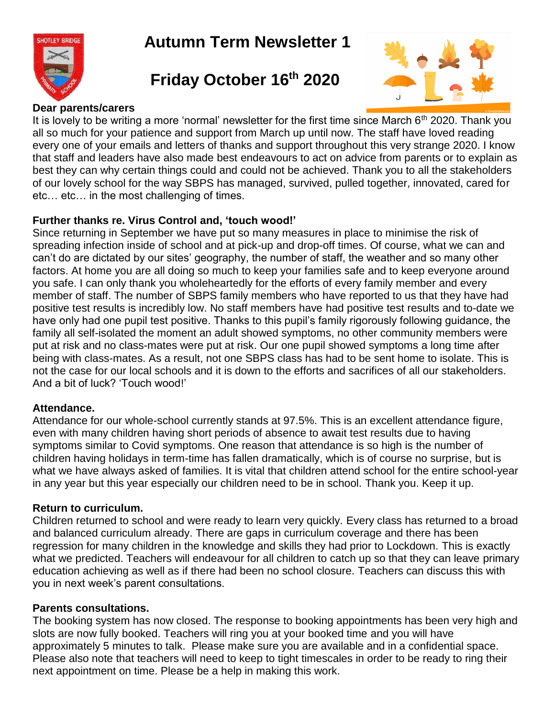

# **Autumn Term Newsletter 1**

# **Friday October 16th 2020**



# **Dear parents/carers**

It is lovely to be writing a more 'normal' newsletter for the first time since March  $6<sup>th</sup>$  2020. Thank you all so much for your patience and support from March up until now. The staff have loved reading every one of your emails and letters of thanks and support throughout this very strange 2020. I know that staff and leaders have also made best endeavours to act on advice from parents or to explain as best they can why certain things could and could not be achieved. Thank you to all the stakeholders of our lovely school for the way SBPS has managed, survived, pulled together, innovated, cared for etc… etc… in the most challenging of times.

# **Further thanks re. Virus Control and, 'touch wood!'**

Since returning in September we have put so many measures in place to minimise the risk of spreading infection inside of school and at pick-up and drop-off times. Of course, what we can and can't do are dictated by our sites' geography, the number of staff, the weather and so many other factors. At home you are all doing so much to keep your families safe and to keep everyone around you safe. I can only thank you wholeheartedly for the efforts of every family member and every member of staff. The number of SBPS family members who have reported to us that they have had positive test results is incredibly low. No staff members have had positive test results and to-date we have only had one pupil test positive. Thanks to this pupil's family rigorously following guidance, the family all self-isolated the moment an adult showed symptoms, no other community members were put at risk and no class-mates were put at risk. Our one pupil showed symptoms a long time after being with class-mates. As a result, not one SBPS class has had to be sent home to isolate. This is not the case for our local schools and it is down to the efforts and sacrifices of all our stakeholders. And a bit of luck? 'Touch wood!'

### **Attendance.**

Attendance for our whole-school currently stands at 97.5%. This is an excellent attendance figure, even with many children having short periods of absence to await test results due to having symptoms similar to Covid symptoms. One reason that attendance is so high is the number of children having holidays in term-time has fallen dramatically, which is of course no surprise, but is what we have always asked of families. It is vital that children attend school for the entire school-year in any year but this year especially our children need to be in school. Thank you. Keep it up.

# **Return to curriculum.**

Children returned to school and were ready to learn very quickly. Every class has returned to a broad and balanced curriculum already. There are gaps in curriculum coverage and there has been regression for many children in the knowledge and skills they had prior to Lockdown. This is exactly what we predicted. Teachers will endeavour for all children to catch up so that they can leave primary education achieving as well as if there had been no school closure. Teachers can discuss this with you in next week's parent consultations.

# **Parents consultations.**

The booking system has now closed. The response to booking appointments has been very high and slots are now fully booked. Teachers will ring you at your booked time and you will have approximately 5 minutes to talk. Please make sure you are available and in a confidential space. Please also note that teachers will need to keep to tight timescales in order to be ready to ring their next appointment on time. Please be a help in making this work.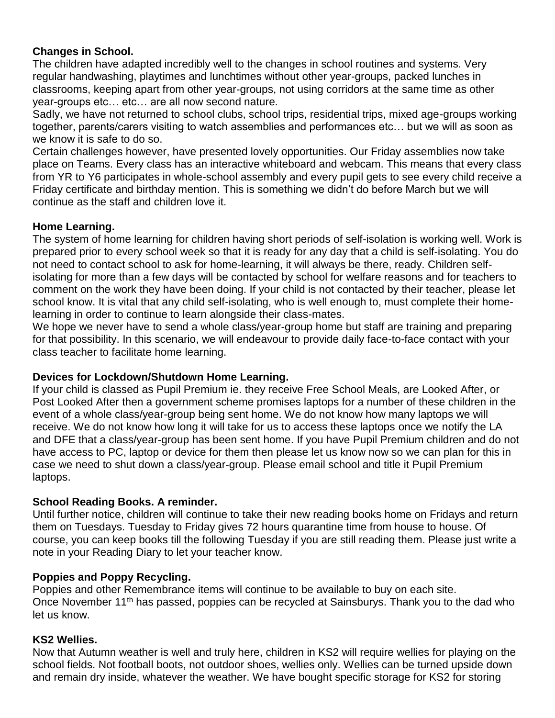# **Changes in School.**

The children have adapted incredibly well to the changes in school routines and systems. Very regular handwashing, playtimes and lunchtimes without other year-groups, packed lunches in classrooms, keeping apart from other year-groups, not using corridors at the same time as other year-groups etc… etc… are all now second nature.

Sadly, we have not returned to school clubs, school trips, residential trips, mixed age-groups working together, parents/carers visiting to watch assemblies and performances etc… but we will as soon as we know it is safe to do so.

Certain challenges however, have presented lovely opportunities. Our Friday assemblies now take place on Teams. Every class has an interactive whiteboard and webcam. This means that every class from YR to Y6 participates in whole-school assembly and every pupil gets to see every child receive a Friday certificate and birthday mention. This is something we didn't do before March but we will continue as the staff and children love it.

## **Home Learning.**

The system of home learning for children having short periods of self-isolation is working well. Work is prepared prior to every school week so that it is ready for any day that a child is self-isolating. You do not need to contact school to ask for home-learning, it will always be there, ready. Children selfisolating for more than a few days will be contacted by school for welfare reasons and for teachers to comment on the work they have been doing. If your child is not contacted by their teacher, please let school know. It is vital that any child self-isolating, who is well enough to, must complete their homelearning in order to continue to learn alongside their class-mates.

We hope we never have to send a whole class/year-group home but staff are training and preparing for that possibility. In this scenario, we will endeavour to provide daily face-to-face contact with your class teacher to facilitate home learning.

### **Devices for Lockdown/Shutdown Home Learning.**

If your child is classed as Pupil Premium ie. they receive Free School Meals, are Looked After, or Post Looked After then a government scheme promises laptops for a number of these children in the event of a whole class/year-group being sent home. We do not know how many laptops we will receive. We do not know how long it will take for us to access these laptops once we notify the LA and DFE that a class/year-group has been sent home. If you have Pupil Premium children and do not have access to PC, laptop or device for them then please let us know now so we can plan for this in case we need to shut down a class/year-group. Please email school and title it Pupil Premium laptops.

### **School Reading Books. A reminder.**

Until further notice, children will continue to take their new reading books home on Fridays and return them on Tuesdays. Tuesday to Friday gives 72 hours quarantine time from house to house. Of course, you can keep books till the following Tuesday if you are still reading them. Please just write a note in your Reading Diary to let your teacher know.

# **Poppies and Poppy Recycling.**

Poppies and other Remembrance items will continue to be available to buy on each site. Once November 11<sup>th</sup> has passed, poppies can be recycled at Sainsburys. Thank you to the dad who let us know.

### **KS2 Wellies.**

Now that Autumn weather is well and truly here, children in KS2 will require wellies for playing on the school fields. Not football boots, not outdoor shoes, wellies only. Wellies can be turned upside down and remain dry inside, whatever the weather. We have bought specific storage for KS2 for storing